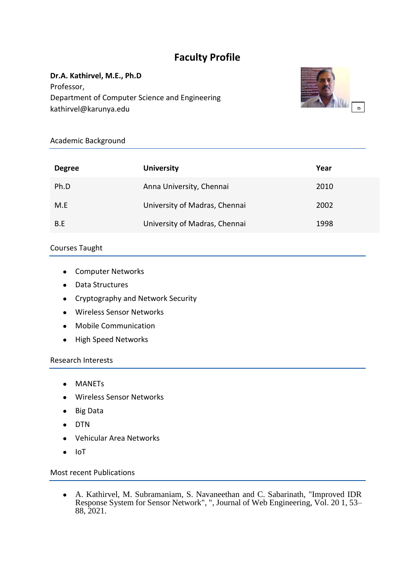# **Faculty Profile**

## **Dr.A. Kathirvel, M.E., Ph.D**

Professor, Department of Computer Science and Engineering kathirvel@karunya.edu



### Academic Background

| <b>Degree</b> | <b>University</b>             | Year |
|---------------|-------------------------------|------|
| Ph.D          | Anna University, Chennai      | 2010 |
| M.E           | University of Madras, Chennai | 2002 |
| B.E           | University of Madras, Chennai | 1998 |

### Courses Taught

- Computer Networks
- Data Structures
- Cryptography and Network Security
- Wireless Sensor Networks
- Mobile Communication
- High Speed Networks

#### Research Interests

- MANETs
- Wireless Sensor Networks
- Big Data
- DTN
- Vehicular Area Networks
- IoT

### Most recent Publications

● A. Kathirvel, M. Subramaniam, S. Navaneethan and C. Sabarinath, "Improved IDR Response System for Sensor Network", ", Journal of Web Engineering, Vol. 20 1, 53– 88, 2021.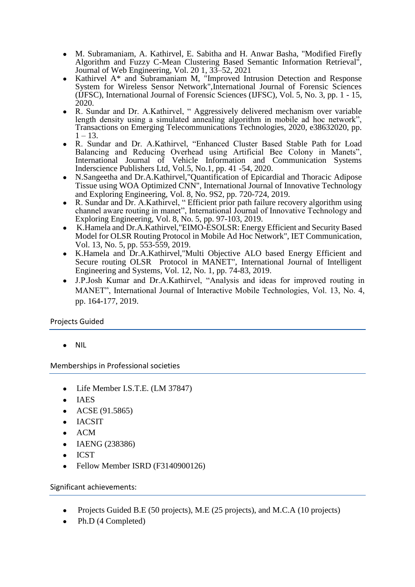- M. Subramaniam, A. Kathirvel, E. Sabitha and H. Anwar Basha, "Modified Firefly Algorithm and Fuzzy C-Mean Clustering Based Semantic Information Retrieval", Journal of Web Engineering, Vol. 20 1, 33–52, 2021
- Kathirvel A\* and Subramaniam M, "Improved Intrusion Detection and Response System for Wireless Sensor Network",International Journal of Forensic Sciences (IJFSC), International Journal of Forensic Sciences (IJFSC), Vol. 5, No. 3, pp. 1 - 15, 2020.
- R. Sundar and Dr. A.Kathirvel, " Aggressively delivered mechanism over variable length density using a simulated annealing algorithm in mobile ad hoc network", Transactions on Emerging Telecommunications Technologies, 2020, e38632020, pp.  $1 - 13$ .
- R. Sundar and Dr. A.Kathirvel, "Enhanced Cluster Based Stable Path for Load Balancing and Reducing Overhead using Artificial Bee Colony in Manets", International Journal of Vehicle Information and Communication Systems Inderscience Publishers Ltd, Vol.5, No.1, pp. 41 -54, 2020.
- N.Sangeetha and Dr.A.Kathirvel,"Quantification of Epicardial and Thoracic Adipose Tissue using WOA Optimized CNN", International Journal of Innovative Technology and Exploring Engineering, Vol. 8, No. 9S2, pp. 720-724, 2019.
- R. Sundar and Dr. A.Kathirvel, " Efficient prior path failure recovery algorithm using channel aware routing in manet", International Journal of Innovative Technology and Exploring Engineering, Vol. 8, No. 5, pp. 97-103, 2019.
- K.Hamela and Dr.A.Kathirvel,"EIMO-ESOLSR: Energy Efficient and Security Based Model for OLSR Routing Protocol in Mobile Ad Hoc Network", IET Communication, Vol. 13, No. 5, pp. 553-559, 2019.
- K.Hamela and Dr.A.Kathirvel,"Multi Objective ALO based Energy Efficient and Secure routing OLSR Protocol in MANET", International Journal of Intelligent Engineering and Systems, Vol. 12, No. 1, pp. 74-83, 2019.
- J.P.Josh Kumar and Dr.A.Kathirvel, "Analysis and ideas for improved routing in MANET", International Journal of Interactive Mobile Technologies, Vol. 13, No. 4, pp. 164-177, 2019.

### Projects Guided

**NIL** 

Memberships in Professional societies

- Life Member I.S.T.E. (LM 37847)
- IAES
- $ACSE(91.5865)$
- IACSIT
- $\bullet$  ACM
- IAENG (238386)
- **ICST**
- Fellow Member ISRD (F3140900126)

Significant achievements:

- Projects Guided B.E (50 projects), M.E (25 projects), and M.C.A (10 projects)
- Ph.D (4 Completed)